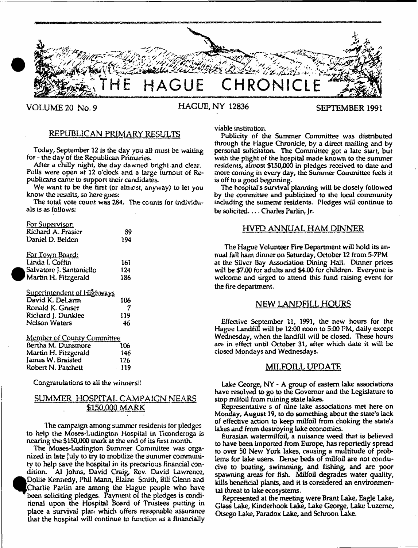

# VOLUME 20 No. 9 HAGUE, NY 12836 SEPTEMBER 1991

# REPUBLICAN PRIMARY RESULTS

Today, September 12 is the day you alt must be waiting for - the day of the Republican Primaries.

After a chilly night, the day dawned bright and dear. Polls were open at 12 o'clock and a large turnout of Republicans came to support their candidates.

We want to be the first (or almost, anyway) to let you know the results, so here goes:

The total vote count was 284. The counts for individuals is as follows:

| <b>For Supervisor.</b>            |       |
|-----------------------------------|-------|
| Richard A. Frasier                | 89    |
| Daniel D. Belden                  | 194   |
| For Town Board:                   |       |
| Linda I. Coffin                   | 161   |
| Salvatore J. Santaniello          | 124   |
| Martin H. Fitzgerald              | 186   |
| <u>Superintendent of Highways</u> |       |
| David K. DeLarm                   | 106   |
| Ronald K. Graser                  | 7     |
| Richard J. Dunklee                | 119   |
| Nelson Waters                     | 46    |
| <b>Member of County Committee</b> |       |
| Bertha M. Dunsmore                | 10ь   |
| Martin H. Fitzgerald              | 146   |
| James W. Braisted                 | 126   |
| Robert N. Patchett                | - 119 |

<sup>•</sup>

Congratulations to all the winners!!

# SUMMER HOSPITAL CAMPAICN NEARS \$150.000 MARK

The campaign among summer residents for pledges to help the Moses-Ludington Hospital in Tioonderoga is nearing the \$150,000 mark at the end of its first month.

The Moses-Ludington Summer Committee was organized in late July to try to mobilize the summer community to help save the hospital in its precarious financial condition. A1 Johns, David Craig, Rev, David Lawrence, Dollie Kennedy, Phil Mann, Elaine Smith, Bill Glenn and Charlie Parlin are among the Hague people who have been soliciting pledges. Payment of the pledges is conditional upon the Hospital Board of Trustees putting in place a survival plan which offers reasonable assurance that the hospital will continue to function as a financially viable institution.

Publicity of the Summer Committee was distributed through the Hague Chronicle, by a direct mailing and by personal solicitaton. The Committee got a late start, but with the plight of the hospital made known to the summer residents, almost \$150,000 in pledges received to date and more coming in every day, the Summer Committee feels it is off to a good beginning.

The hospital's survival planning will be dosely followed by the committee and publicized to the local community induding the sumemr residents. Pledges will continue to be solicited....Charles Parlin, Jr.

# HVFD ANNUAL HAM DINNER

The Hague Volunteer Fire Department will hold its annual fall ham dinner on Saturday, October 12 from 5-7PM at the Silver Bay Association Dining Hall. Dinner prices will be \$7.00 for adults and \$4.00 for children. Everyone is welcome and urged to attend this fund raising event for the fire department.

## NEW LANDFILL HOURS

Effective September 11, 1991, the new hours for the Hague Landfill will be 12:00 noon to 5:00 PM, daily except Wednesday, when the landfill will be dosed. These hours are in effect until October 31, after which date it will be closed Mondays and Wednesdays.

## MILFOILL UPDATE

Lake George, NY - A group of eastern lake assodations have resolved to go to the Governor and the Legislature to stop milfoil from ruining state lakes.

Representative s of nine lake associations met here on Monday, August 19, to do something about the state's lack of effective action to keep milfoil from choking the state's lakes and from destroying lake economies.

Eurasian watermilfoil, a nuisance weed that is believed to have been imported from Europe, has reportedly spread to over 50 New York lakes, causing a multitude of problems for lake users. Dense beds of milfoil are not conducive to boating, swimming, and fishing, and are poor spawning areas for fish. Milfoil degrades water quality, kills beneficial plants, and it is considered an environmental threat to lake ecosystems.

Represented at the meeting were Brant Lake, Eagle Lake, Glass Lake, Kinderhook Lake, Lake George, Lake Luzerne, Otsego Lake, Paradox Lake, and Schroon Lake.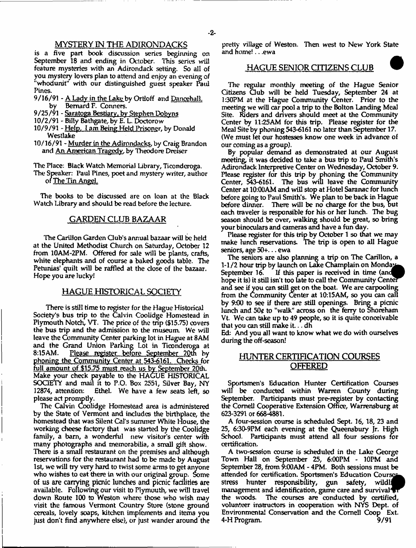# MYSTERY IN THE ADIRONDACKS

is a five part book discussion series beginning on September 18 and ending in October. This series will feature mysteries with an Adirondack setting. So all of you mystery lovers plan to attend and enjoy an evening of "whodunit" with our distinguished guest speaker Paul Pines.

- 9/16/91 A Lady in the Lake by Ortloff and Dancehall. by Bernard F. Conners.
- 9/25/91 Saratoga Bestiary, by Stephen Dobyns
- 10/2/91 Billy Bathgate, by E. L. Doctorow
- 10/9/91 Help. I am Being Held Prisoner, by Donald Westlake
- 10/16/91 Murder in the Adirondacks, by Craig Brandon and An American Tragedy, by Theodore Dreiser

The Place: Black Watch Memorial Library, Ticonderoga.

The Speaker: Paul Pines, poet and mystery writer, author of <u>The Tin Angel.</u>

The books to be discussed are on loan at the Black Watch Library and should be read before the lecture.

# GARDEN CLUB BAZAAR

The Carillon Garden Club's annual bazaar will be held at the United Methodist Church on Saturday, October 12 from 10AM-2PM. Offered for sale will be plants, crafts, white elephants and of course a baked goods table. The Petunias' quilt will be raffled at the dose of the bazaar. Hope you are lucky!

# HAGUE HISTORICAL. SOCIETY

There is still time to register for die Hague Historical Society's bus trip to the Calvin Coolidge Homestead in Plymouth Notch, VT, The price of the trip (\$15.75) covers the bus trip and the admission to the museum. We will leave the Community Center parking lot in Hague at 8AM and the Grand Union Parking Lot in Ticonderoga at<br>8:15AM. Please register before September 20th by Please register before September 20th by phoning the Community Center at 543-6161. Checks for full amount of \$15.75 must reach us by September 20th. Make your check payable to the HAGUE HISTORICAL SOCIETY and mail it to P.O. Box 2551, Silver Bay, NY Ethel. We have a few seats left, so please act promptly.

The Calvin Coolidge Homestead area is administered by the State of Vermont and indudes the birthplace, the homestead that was Silent Cal's summer White House, the working d\eese factory that was started by the Coolidge family, a bam, a wonderful new visitor's center with many photographs and memorabilia, a small gift show. There is a small restaurant on the premises and although reservations for the restaurant had to be made by August 1st, we will try very hard to twist some arms to get anyone who wishes to eat there in with our original group. Some of us are carrying picnic lunches and picnic facilities are available. Following our visit to Plymouth, we will travel down Route 100 to Weston where those who wish may visit the famous Vermont Country Store (stone ground cereals, lovely soaps, kitchen implements and items you just don't find anywhere else), or just wander around the pretty village of Weston. Then west to New York State and home!.. .ewa

## **HAGUE SENIOR CITIZENS CLUB**

The regular monthly meeting of the Hague Senior Citizens Qub will be hdd Tuesday, September 24 at 1:30PM at the Hague Community Center. Prior to the meeting we will car pool a trip to the Bolton Landing Meal Site. Riders and drivers should meet at the Community Center by 11:25AM for this trip. Please register for the Meal Site by phoning 543\*6161 no later than September 17. (We must let our hostesses know one week in advance of our coming as a group).

By popular demand as demonstrated at our August meeting, it was decided to take a bus trip to Paul Smith's Adirondack Interpretive Center on Wednesday, October 9. Please register for this trip by phoning the Community Center, 548-6161. The bus will leave the Community Center at 10:00AM and will stop at Hotel Saranac for lunch before going to Paul Smith's. We plan to be back in Hague before dinner. There will be no charge for the bus, but each traveler is responsible for his or her lunch. The bug season should be over, walking should be great, so bring your binoculars and cameras and have a fun day.

Please register for this trip by October 1 so that we may make lunch reservations. The trip is open to all Hague seniors, age 50+... ewa

The seniors are also planning a trip on The Carillon, a 1-1/2 hour trip by launch on Lake Champlain on Monday September 16. If this paper is received in time (and hope it is) it still isn't too late to call the Community Center ana see if you can still get on the boat. We are carpooling from the Community Center at 10:15AM, so you can call by 9:00 to see if there are still openings. Bring a picnic lunch and  $50¢$  to "walk" across on the ferry to Shoreham Vt. We can take up to 49 people, so it is quite conceivable that you can still make it... dh

Ed: And you all want to know what we do with ourselves during the off-season!

# HUNTER CERTIFICATION COURSES OFFERED

Sportsmen's Education Hunter Certification Courses will be conducted within Warren County during September. Participants must pre-register by contacting the Cornell Cooperative Extension Office, Warrensburg at 623-3291 or 668-4881.

A four-session course is scheduled Sept. 16,18, 23 and 25, 6:30\*9PM each evening at the Queensbury Jr. High School. Participants must attend all four sessions tor certification.

A two-session course is scheduled in the Lake George Town Hall on September 25, 6:00PM - 10PM and September 28, from 9:00AM - 4PM. Both sessions must be attended for certification. Sportsmen's Education Course stress hunter responsibility, gun safety, wildli management and identification, game care and survival in the woods. The courses are conducted by certified, volunteer instructors in cooperation with NYS Dept, of Environmental Conservation and the Cornell Coop Ext. 4-H Program. 9/91

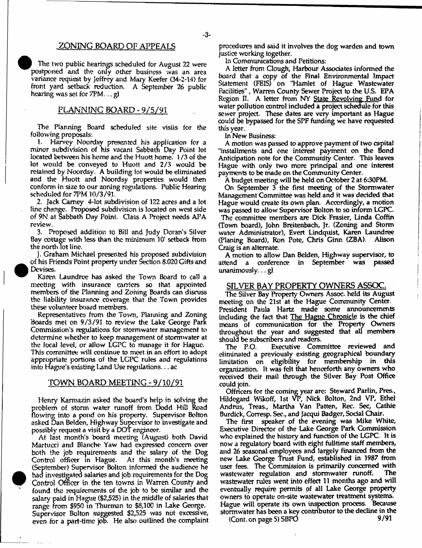# .ZONING BOARD OF APPEALS

The two public hearings scheduled for August 22 were postponed and the only other business was an area variance request by Jeffrey and Mary Keefer (34-2-14) for front yard setback reduction. A September 26 public hearing was set for 7PM... gl

# PLANNING BOARD - 9/5/91

The Planning Board scheduled site visits for the following proposals;

1. Harvey Noordsy presented his application for a minor subdivision of his vacant Sabbath Day Point lot located between his home and the Huott home. I /3 of the lot would be conveyed to Huott and 2/3 would be retained by Noordsy. A building lot would be eliminated and the Huott and Noordsy properties would then conform in size to our zoning regulations. Public Hearing scheduled for 7PM 10/3/91.

2. Jack Carney 4-lot subdivision of 122 acres and a lot line change. Proposed subdivision is located on west side *of* 9N at Sabbath Day Point. Class A Project needs APA review.

3. Proposed addition to Bill and Judy Doran's Silver Bay cottage with less than the minimum 10\* setback from the north lot line.

J. Graham Michael presented his proposed subdivision of his Friends Point property under Section 8.020 Gifts and Devises.

Karen Laundree has asked the Town Board to call a meeting with insurance carriers so that appointed members of the Planning and Zoning Boards can discuss the liability insurance coverage that the Town provides these volunteer hoard members.

Representatives from the Town, Planning and Zoning Boards met on 9/3/91 to review the Lake George Park Commission's regulations for stormwater management to determine whether to keep management of stormwater at the local level, or allow LGPC to manage it for Hague. This committee will continue to meet in an effort to adopt appropriate portions of the LGPC rules and regulations into Hague's existing Land Use regulations... ac

## TOWN BOARD MEETING - 9/10/91

Henry Karmazin asked the board's help in solving the problem of storm water runoff from Dodd Hill Road flowing into a pond on his property. Supervisor Bolton asked Dan Belden, Highway Supervisor to investigate and possibly request a visit by a DOT engineer

At last month's board meeting (August) both David Martucci and Blanche Yaw had expressed concern over both the job requirements and the salary of the Dog Control officer in Hague. At this month's meeting (September) Supervisor Bolton informed the audience he had investigated salaries and job requirements for the Dog Control Officer in the ten towns in Warren County and found the requirements of the job to be similar and the salary paid in Hague (\$2,525) in the middle of salaries that range from \$950 in Thurman to \$8,100 in Lake George. Supervisor Bolton suggested \$2,525 was not excessive, even for a part-time job. He also outlined the complaint

procedures and said it involves the dog warden and town justice working together.

In Communications and Petitions;

A letter from Clough, Harbour Associates informed the board that a copy of the Final Environmental Impact Statement (FE1S) on "Hamlet of Hague Wastewater Facilities", Warren County Sewer Project to the U.S. EPA Region II. A letter from NY State Revolving Fund for water pollution control included a project schedule for this sewer project. These dates are very important as Hague oould be bypassed for the SPF funding we have requested this year.

In New Business;

A motion was passed to approve payment of two capital "installments and one interest payment on the Bond Anticipation note for the Community Center. This leaves Hague with only two more principal and one interest payments to be made on the Community Center.

A budget meeting will be held on October 2 at 630PM.

On September 3 the first meeting of the Stormwater Management Committee was held and it was decided that Hague would create its own plan. Accordingly, a motion was passed to allow Supervisor Bolton to so inform LGPC. The committee members are Dick Frasier, Unda Coffin (Town board), John Breitenbach, Jr. (Zoning and Storm water Administrator), Evert Lindquist, Karen Laundree (Planing Board), Ron Pote, Chris Ginn (ZBA). Alison Craig is an alternate.

A motion to allow Dan Belden, Highway supervisor, to attend a conference in September was passed unanimously.., gi

## SILVER BAY PROPERTY OWNERS ASSOC.

The Silver Bay Property Owners Assoc, held its August meeting on the 21st at the Hague Community Center. President Paula Hartz made some announcements including the fact that The Hague Chronicle is the chief means of communication for the Property Owners throughout the year and suggested that all members should be subscribers and readers.

The P.O. Executive Committee reviewed and eliminated a previously existing geographical boundary limitation on eligibility for membership in this organization. U was felt that henceforth any owners who received their mail through the Silver Bay Post Office could join.

Offricers for the coming year are: Steward Parlin, Pres., Hildegard Wikoff, 1st VP, Nick Bolton, 2nd VP, Ethel Andrus, Treas., Martha Van Patten, Rec. Sec, Cathie Burdick, Corresp. Sec., and Jacqui Badger, Sodal Chair.

The first speaker of the evening was Mike White, Executive Director of the Lake George Park Commission who explained the history and function of the LGPC. It is now a regulatory board with eight fulltime staff members, and 26 seasonal employees and largely financed from the new Lake George Trust Fund, established in 1987 from user fees. The Commission is primarily concerned with wastewater regulation and stormwater runoff. The wastewater rules went into effect 11 months ago and will eventually require permits of all Lake George property owners to operate on-site wastewater treatment systems. Hague will operate its own inspection process. Because stormwater has been a key contributor to the decline in the

(Cont. on page 5) SBPO  $9/91$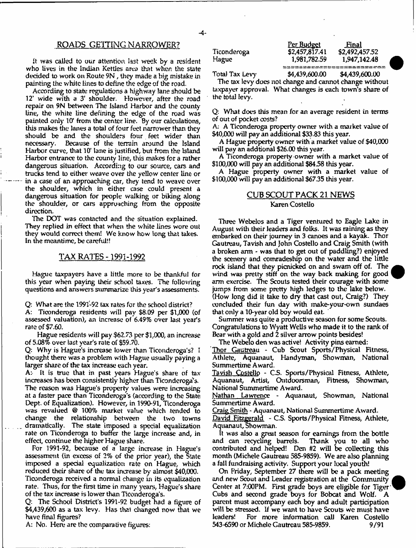it was called to our attention last week by a resident who lives in the Indian Kettles area that when the state decided to work on Route 9N , they made a big mistake in painting tire white lines to define the edge of the road.

According to state regulations a highway lane should be 12' wide with a 3' shoulder. However, after the road repair on 9N between The Island Harbor and the county line, the white line defining the edge of the road was painted only 10' from the center line. By our calculations, this makes the lanes a total of four feet narrower than they should be and the shoulders four feet wider than<br>necessary. Because of the terrain around the Island Because of the terrain around the Island Harbor curve, that 10\* lane is justified, but from the Island Harbor entrance to the county line, this makes for a rather dangerous situation. According to our source, cars and trucks tend to either weave over die yellow center line or in a case of an approaching car, they tend to weave over the shoulder, which in either case could present a dangerous situation for people walking or biking along the shoulder, or cars approaching from the opposite direction.

The DOT was contacted and the situation explained. They replied in effect that when the white lines wore out they would correct them! We know how long that takes. In the meantime, be careful!!

# TAX RATES -1991-1992

Hague taxpayers have a little more to be thankful for this year when paying their school taxes. The following questions and answers summarize this year's assessments.

Q: What are the 1991-92 tax rates for the school district? A: Ticonderoga residents will pay \$8.09 per \$1,000 (of assessed valuation), an increase of 6.49% over last year's rate of \$7.60.

Hague residents will pay \$62.73 per \$1,000, an increase of 5.08% over last year's rate of \$59.70.

Q: Why is Hague's increase lower than Ticonderoga's? 1 thought there was a problem with Hague usually paying a larger share of the tax increase each year.

A: It is true that in past years Hague's share of tax increases has been consistently higher than Ticonderoga's. The reason was Hague's property values were increasing at a faster pice than Ticonderoga's (according to the State Dept, of Equalization). However, in 1990-91, Ticonderoga was revalued @ 100% market value which tended to change the relationship between the two towns dramatically. The. state imposed a special equalization rate on Ticonderoga to buffer the large increase and, in effect, continue the higher Hague share.

For 1991-92, because of a large increase in Hague's assessment (in excess of 2% of the prior year), the State imposed a special equalization rate on Hague, which reduced their share of the tax increase by almost \$40,000.

Ticonderoga received a normal change in its equalization rate. Thus, for the first time in many years, Hague's share of the tax increase is lower than Ticonderoga's.

Q; The School District's 1991-92 budget had a figure of \$4,439/600 as a tax levy. Has that changed now that we have final figures?

A: No. Here are the comparative figures;

Ticonderoga Hague

<u>Per Budget</u> **-Baal** \$2,457,817.41 \$2,492/457.52 1,981,782.59 1,947,142.48 <u>woonaaeeeee</u>e

Total Tax Levy \$4,439,600.00 \$4,439,600.00

The tax levy does not change and cannot change without taxpayer approval. What changes is each town's share of the total levy.

Q: What does this mean for an average resident in terms of out of pocket costs?

A; A Ticonderoga property owner with a market value of \$40,000 will pay an additional \$33.83 this year.

A Hague property owner with a market value of \$40,000 will pay an addtional \$26.00 this year.

A Ticonderoga property owner with a market value of \$100,000 will pay an additional \$8458 this year.

A Hague property owner with a market value of \$100,000 will pay an additional \$67.35 this year.

# CUB SCOUT PACK 21 NEWS Karen Costello

Three Webelos and a Tiger ventured to Eagle Lake in August with their leaders and folks. It was raining as they embarked on their journey in 3 canoes and a kayak. Thor Gautreau, Tavish and John Costello and Craig Smith (with a broken arm - was that to get out of paddling?) enjoyed the scenery and comradeship on the water and the little rock island that they picnicked on and swam off of. The wind was pretty stiff on the way back making for good arm exercise. The Scouts tested their courage with some jumps from some pretty high ledges to the lake below, (How long did it take to dry that cast out, Craig?) They concluded their fun day with make-your-own sundaes that only a 10-year old boy would eat.

Summer was quite a productive season for some Scouts. Congratulations to Wyatt Wells who made it to the rank of Bear with a gold and 2 silver arrow points besides!

The Webelo den was active! Activity pins earned:

Thor Gautreau - Cub Scout Sports/Physical Fitness, Athlete, Aquanaut, Handyman, Showman, National Summertime Award.

Tavish Costello - C-S. Sports/Physical Fitness, Athlete, Aquanaut, Artist, Outdoorsman, Fitness, Showman, National Summertime Award.

Nathan Lawrence - Aquanaut, Showman, National Summertime Award.

Craig Smith - Aquanaut, National Summertime Award.

David Fitzgerald - C.S. Sports/Physical Fitness, Athlete, Aquanaut, Showman.

It was also a great season for earnings from the bottle and can recycling barrels. Thank you to all who contributed and helped! Den #2 will be collecting this month (Michele Gautreau 585-9859). We are also planning a fall fundraising activity. Support your local youth!

On Friday, September 27 there will be a pack meeting and new Scout and Leader registration at the Community Center at 7:00PM. First grade boys are eligible for Tiger Cubs and second grade boys for Bobcat and Wolf. A parent must accompany each boy and adult participation will be stressed. If we want to have Scouts we must have leaders! For more information call Karen Costello 543-6590 or Michele Gautreau 585-9859. 9/91



# *-4-*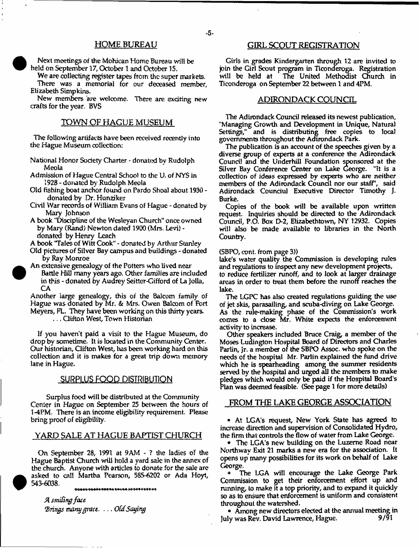# HOME BUREAU

Next meetings of the Mohican Home Bureau will be held on September 17, October 1 and October 15.

We are collecting register tapes from the super markets. There was a memorial for our deceased member, Elizabeth Simpkins.

New members are welcome. There are exciting new crafts for the year. BVS

# TOWN OF HAGUE MUSEUM

The following artifacts have been received recently into the Hague Museum collection:

- National Honor Society Charter donated by Rudolph Meola
- Admission of Hague Central School to the U, of NYS in 1928 - donated by Rudolph Meola
- Old fishing boat anchor found on Pardo Shoal about 1930 donated by Dr. Hunziker
- Civil War records of William Evans of Hague donated by Mary Johnson
- A book 'Discipline of the Wesleyan Church" once owned by Mary (Rand) Newton dated 1900 (Mrs. Levi) donated by Henry Leach

A book 'Tales of Witt Cook" - donated by Arthur Stanley

- Old pictures of Silver Bay campus and buildings donated by Ray Monroe
- An extensive genealogy of the Potters who lived near Battle Hill many years ago. Other families are included in this - donated by Audrey Seitter-Cifford of La Jolla, CA

Another iarge genealogy, this of the Balcom family of Hague was donated by Mr. & Mrs. Owen Balcom of Fort Meyers, FL. They have been working on this thirty years.

... Clifton West, Town Historian

If you haven't paid a visit to the Hague Museum, do drop by sometime. It is located in the Community Center. Our historian, Clifton West, lias been working hard on this collection and it is makes for a great trip down memory lane in Hague.

## **SURPLUS FOOD DISTRIBUTION**

Surplus food will be distributed at the Community Center in Hague on September 25 between the hours of 1-4PM. There is an income eligibility requirement. Please bring proof of eligibility.

# YARD SALE AT HAGUE BAPTIST CHURCH

On September 28, 1991 at 9AM - ? the ladies of the Hague Baptist Church will hold a yard sale in the annex of the church. Anyone with articles to donate for the sale are asked to call Martha Pearson, 585-6202 or Ada Hoyt, 543-6038. \*\*\*\*\*\*\*\*\*\*\*\*\*\*\*\*\*\*\*\*\*\*\*\*\*\*\*\*\*

*A stnifingfoct (Brings many fpxiu.* **...** *OCd Saying*

# GIRL SCOUT REGISTRATION

Girls in grades Kindergarten through 12 are invited to join the Girl Scout program in Ticonderoga. Registration will be held at The United Methodist Church in Ticonderoga on September 22 between 1 and 4PM.

## ADIRONDACK COUNCIL

The Adirondack Council released its newest publication, "Managing Growth and Development in Unique, Natural Settings," and is distributing free copies to local governments throughout the Adirondack Park.

The publication is an account of the speeches given by a diverse group of experts at a conference the Adirondack Council and the Underhill Foundation sponsored at the Silver Bay Conference Center on Lake George. "It is a collection of ideas expressed by experts who are neither members of the Adirondack Council nor our staff', said Adirondack Counciul Executive Director Timothy J. Burke.

Copies of the book will be available upon written request. Inquiries should be directed to the Adirondack Council, P.O. Box D-2, Elizabethtown, NY 12932. Copies will also be made available to libraries in the North Country.

## (SBPO, cont. from page 3))

lake's water quality the Commission is developing rules and regulations to inspect any new development projects,

to reduce fertilizer runoff, and to look at larger drainage areas in order to treat them before the runoff reaches the lake.

The LGPC has also created regulations guiding the use of jet skis, parasailing, and scuba-diving on Lake George. As the rule-making phase of the Commission's work comes to a dose Mr. White expects the enforcement activity to increase.

Other speakers included Bruce Craig, a member of the Moses Ludington Hospital Board of Directors and Charles Parlin, Jr. a member of the SBPO Assoc, who spoke on the needs of the hospital Mr. Parlin explained the hind drive which he is spearheading among the summer residents served by the hospital and urged all the members to make pledges which would only be paid if the Hospital Board's Plan was deemed feasible. (See page 1 for more details)

# FROM THE LAKE GEORGE ASSOCIATION

• At LGA's request, New York State has agreed to increase direction and supervision of Consolidated Hydro, the firm that controls the flow of water from Lake George.

• The LGA's new building on the Luzerne Road near Northway Exit 21 marks a new era for the association. It opens up many possibilities for its work on behalf of Lake George.

• The LGA will encourage the Lake George Park Commission to get their enforcement effort up and running, to make it a top priority, and to expand it quickly so as to ensure that enforcement is uniform and consistent throughout the watershed.

• Among new directors elected at the annual meeting in July was Rev. David Lawrence, Hague. 9/91

- 5-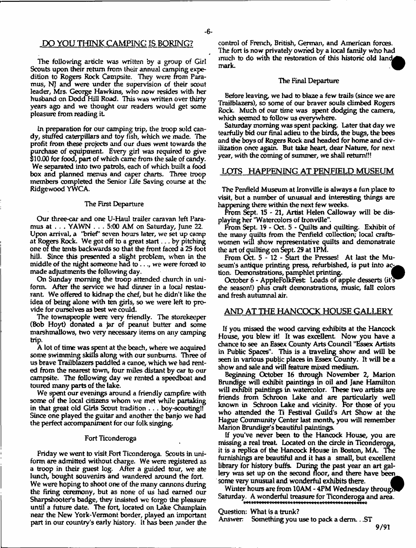# PO YOU THINK CAMPING IS BORING?

The following article was written *by* a group of Girl Scouts upon their return from their annual camping expedition to Rogers Rock Campsite. They were from Paramus, NJ and were under the supervision of their scout leader, Mrs. George Hawkins, who now resides with her husband on Dodd Hill Road. This was written over thirty years ago and we thought our readers would get some pleasure from reading it

In preparation for our camping trip, the troop sold candy, stuffed caterpillars and toy fish, which we made. The profit from these projects and our dues went towards the purchase of equipment. Every girl was required to give \$10.00 for food, part of which came from the sale of candy. We separated into two patrols, each of which built a food box and planned menus and caper charts. Three troop members completed the Senior life Saving course at the Ridgewood YWCA.

#### The First Departure

Our three-car and one U-Haul trailer caravan left Paramus at . . . YAWN . . . 5:00 AM on Saturday, June 22. Upon arrival, a "brief' seven hours later, we set up camp at Rogers Rock. We got off to a great start.. . by pitching one or the tents backwards so that the front faced a 25 foot hill. Since this presented a slight problem, when in the middle of the night someone had to ..., we were forced to made adjustments the following day.

On Sunday morning the troop attended church in uniform. After the service we had dinner in a local restaurant. We offered to kidnap the chef, but he didn't like the idea of being alone with ten girls, so we were left to provide for ourselves as best we could.

The townspeople were very friendly. The storekeeper (Bob Hoyt) donated a jar of peanut butter and some marshmallows, two very necessary items on any camping trip.

A lot of time was spent at the beach, where we acquired some swimming skills along with our sunburns. Three of us brave Trail blazers paddled a canoe, which we had rented from the nearest town, four miles distant by car to our campsite. The following day we rented a speedboat and toured many parts of the lake.

We spent our evenings around a friendly campfire with some of the local citizens whom we met while partaking in that great old Girls Scout tradition . . . boy-scouting!! Since one played the guitar and another the banjo we had the perfect accompaniment for our folk singing.

## Fort Ticonderoga

Friday we went to visit Fort Ticonderoga. Scouts in uniform are admitted without charge. We were registered as a troop in their guest log. After a guided tour, we ate lunch, bought souvenirs and wandered around the fort. We were hoping to shoot one of the many cannons during the firing ceremony, but as none of us had earned our Sharpshooter's badge, they insisted we forgo the pleasure until a future date. The tort, located on take Champlain near the New York-Vermont border, played an important part in our country's early history, it has been ,under the control of French, British, German, and American forces. The fort is now privately owned by a local family who had much to do with the restoration of this historic old land mark. mark.

#### The Final Departure

Before leaving, we had to blaze a few trails (since we are Traiiblazers), so some of our braver souls climbed Rogers Rock, Much of our time was spent dodging the camera, which seemed to follow us everywhere.

Saturday morning was spent packing. later that day we tearfully bid our final adieu to the birds, the bugs, the bees and the boys of Rogers Rock and headed for home and civilization once again. But take heart, dear Nature, for next year, with the coming of summer, we shall return!!!

## LOTS HAPPENING AT PENFIELD MUSEUM

The Penfield Museum at Ironville is always a fun place to visit, but a number of unusual and interesting things are happening there within the next few weeks.

From Sept. 15 - 21, Artist Helen Calloway will be displaying her 'Watercolors of Ironville".

From Sept. 19 - Oct. 5 - Quilts and quilting. Exhibit of the many quilts from the Penfield collection; local craftswomen will show representative quilts and demonstrate the art of quilting on Sept. 29 at 1PM.

From Oct. 5 - 12 - Start the Presses! At last the Museum's antique printing press, refurbished, is put into action. Demonstrations, pamphlet printing.

October 6 - AppleFolkFest: Loads of apple desserts (it's the season!) plus craft demonstrations, music, fall colors and fresh autumnal air.

# AND AT THE HANCOCK HOUSE GALLERY

If you missed the wood carving exhibits at the Hancock House, you blew it! It was excellent. Now you have a chance to see an Essex County Arts Council "Essex Artists in Public Spaces". This is a traveling show' and will be seen in various public places in Essex County. It will be a show and sale and will feature mixed medium.

Beginning October 16 through November 2, Marion Brundige will exhibit paintings in oil and Jane Hamilton will exhibit paintings in watercolor. These two artists are friends from Schroon Lake and are particularly well known in Schroon Lake and vicinity. For those of you who attended the Ti Festival Guild's Art Show at the Hague Community Center last month, you will remember Marion Brundige's beautiful paintings.

If you've never been to the Hancock House, you are missing a real treat. Located on the circle in Ticonderoga, it is a replica of the Hancock House in Boston, MA The furnishings are beautiful and it has a small, but excellent library for history buffs. During the past year an art gallery was set up on the second floor, and there have been some very unusual and wonderful exhibits there.

Winter hours are from 10AM - 4PM Wednesday through Saturday. A wonderful treasure for Ticonderoga and area.

Question: What is a trunk?

Answer Something you use to pack a derm .. .ST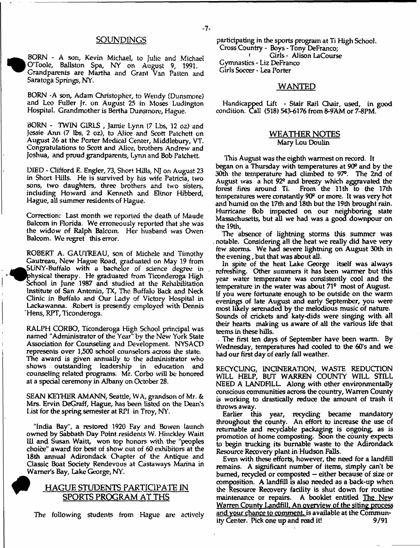# **SOUNDINGS**

BORN - A son, Kevin Michael, to Julie and Michael | O'Toole, Bailston Spa, NY on August 9, 1991. Grandparents are Martha and Grant Van Patten and Saratoga Springs, NY.

BORN -A son, Adam Christopher, to Wendy (Dunsmore) and Leo Fuller Jr. on August 25 in Moses Ludmgton Hospital. Grandmother is Bertha Dunsmore, Hague.

BORN - TWIN GIRLS , Jamie Lynn 17 Lbs, 12 o*z)* and Jessie Ann (7 lbs, 2 oz), to Alice and Scott Patchett on August 26 at the Porter Medical Center, Middlebury, VT. Congratulations to Scott and Alice, brothers Andrew and Joshua, and proud grandparents, Lynn and Bob Patchett.

DIED - Clifford E. Engler, 73, Short Hills, NJ on August 23 in Short Hills. He is survived by his wife Patricia, two sons, two daughters, three brothers and two sisters, including Howard and Kenneth and Elinor Hibberd, Hague, all summer residents of Hague.

Correction: Last month we reported the death of Maude Balcom in Honda. We erroneously reported that she was the widow of Ralph Balcom, Her husband was Owen Balcom. We regret this error.

ROBERT A. GAUTREAU, son of Michele and Timothy Gautreau, New Hague Road, graduated on May 19 from SUNY-Buffalo with a bachelor of science degree in ^physical therapy. He graduated from Ticonderoga High School in June 1987 and studied at the Rehabilitation Institute of San Antonio, TX, The Buffalo Back and Neck Clinic in Buffalo and Our Lady of Victory Hospital in Lackawanna. Robert is presently employed with Dennis Hens, RPT, Ticonderoga.

RALPH CORBO, Ticonderoga High School principal was named ''Administrator of the Year" by the New York State Association for Counseling and Development. NYSACD represents over 1,500 school counselors across the state. The award is given annually to the administrator who shows outstanding leadership in education and counseling related programs. Mr. Corbo will be honored at a special ceremony in Albany on October 28.

SEAN KETHER AMANN, Seattle, WA, grandson of Mr. & Mrs. Ervin DeGraff, Hague, has been listed on the Dean's list for the spring semester at RPI in Troy, NY.

"India Bay", a restored 1920 Fay and Bowen launch owned by Sabbath Day Point residents W. Hinckley Waitt 111 and Susan Waitt, won top honors with the "peoples choice" award for best of show out of 60 exhibitors at the 18th annual Adirondack Chapter of the Antique and Classic Boat Society Rendevous at Castaways Marina in Warner's Bay, Lake George, NY.

# I HAGUE STUDENTS PARTICIPATE IN SPORTS PROGRAM AT THS

The following students from Hague are actively

participating in the sports program at Ti High School. Cross Country - Boys - Tony DeFranco; *1* Girls - Alison LaCourse Gymnastics - Liz DeFranco Girls Soccer - Lea Porter

## WANTED

Handicapped Lift - Stair Rail Chair, used, in good condition. Call (518) 543-6176 from 8-9AM or 7-8PM.

# WEATHER NOTES

Mary Lou Doulin

This August was the eighth warmest on record. It began on a Thursday with temperatures at 90° and by the 30th the temperature had climbed to 97°. The 2nd of August was a hot 92° and breezy which aggravated the forest fires around Ti. From the 11th to the 17th From the 11th to the 17th temperatures were constantly 90<sup>2</sup> or more. It was very hot and humid on the 17th and 18th but the 19th brought rain. Hurricane Bob impacted on our neighboring state Massachusetts, but all we had was a good downpour on the 19th,

The absence of lightning storms this summer was . notable. Considering all the heat we really did have very few storms. We had severe lightning on August 30th in the evening, but that was about all.

In spite of the heat Lake George itself was always refreshing, Other summers it has been warmer but this year water temperature was consistently cool and the temperature in the water was about 71° most of August, if you were fortunate enough to be outside on the warm evenings of late August and early September, you were most likely serenaded by the melodious music of nature. Sounds of crickets and katy-dids were singing with all their hearts making us aware of all the various life that teems in these hills.

. The first ten days of September have been warm. By Wednesday, temperatures had cooled to the 60's and we had our first day of early fall weather.

RECYCLING, INCINERATION, WASTE REDUCTION WILL HELP, BUT WARREN COUNTY WILL STILL NEED A LANDFILL. Along with other environmentally conscious communities across the country, Warren County is working to drastically reduce the amount of trash it throws away.

Earlier this year, recycling became mandatory throughout the county. An effort to increase the use of returnable and recyclable packaging is ongoing, as is promotion of home composting. Soon the county expects to begin trucking its burnable waste to the Adirondack Resource Recovery plant in Hudson Falls.

Even with these efforts, however, the need for a landfill remains. A significant number of items, simply can't be burned, recycled or composted – either because of size or composition. A landfill is also needed as a back-up when the Resource Recovery facility is shut down for routine maintenance or repairs. A booklet entitled The New Warren County Landfill. An overview of the siting process and your chance to comment, is available at the Community Center. Pick one up and read it! 9/91